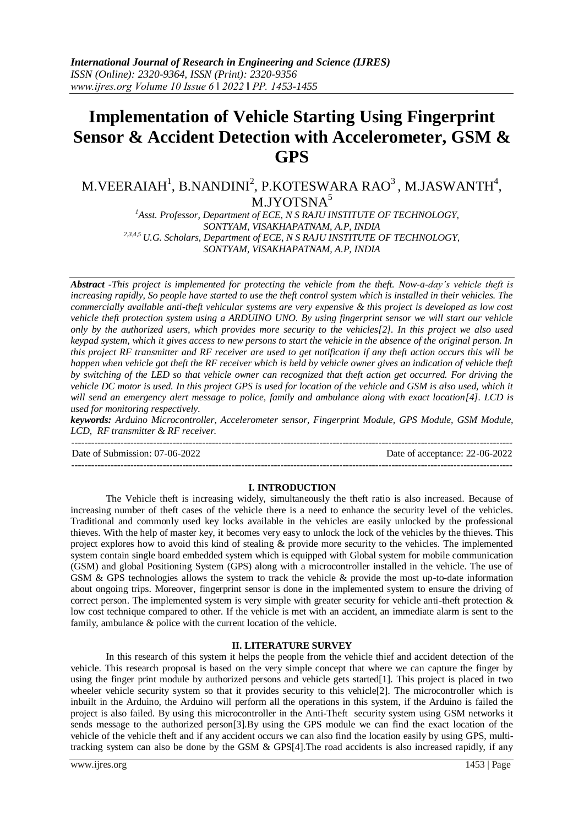# **Implementation of Vehicle Starting Using Fingerprint Sensor & Accident Detection with Accelerometer, GSM & GPS**

# M.VEERAIAH<sup>1</sup>, B.NANDINI<sup>2</sup>, P.KOTESWARA RAO<sup>3</sup>, M.JASWANTH<sup>4</sup>, M.JYOTSNA<sup>5</sup>

<sup>1</sup>Asst. Professor, Department of ECE, N S RAJU INSTITUTE OF TECHNOLOGY, *SONTYAM, VISAKHAPATNAM, A.P, INDIA 2,3,4,5 U.G. Scholars, Department of ECE, N S RAJU INSTITUTE OF TECHNOLOGY, SONTYAM, VISAKHAPATNAM, A.P, INDIA*

*Abstract -This project is implemented for protecting the vehicle from the theft. Now-a-day's vehicle theft is increasing rapidly, So people have started to use the theft control system which is installed in their vehicles. The commercially available anti-theft vehicular systems are very expensive & this project is developed as low cost vehicle theft protection system using a ARDUINO UNO. By using fingerprint sensor we will start our vehicle only by the authorized users, which provides more security to the vehicles[2]. In this project we also used keypad system, which it gives access to new persons to start the vehicle in the absence of the original person. In this project RF transmitter and RF receiver are used to get notification if any theft action occurs this will be happen when vehicle got theft the RF receiver which is held by vehicle owner gives an indication of vehicle theft by switching of the LED so that vehicle owner can recognized that theft action get occurred. For driving the vehicle DC motor is used. In this project GPS is used for location of the vehicle and GSM is also used, which it will send an emergency alert message to police, family and ambulance along with exact location[4]. LCD is used for monitoring respectively.*

*keywords: Arduino Microcontroller, Accelerometer sensor, Fingerprint Module, GPS Module, GSM Module, LCD, RF transmitter & RF receiver.*

Date of Submission: 07-06-2022 Date of acceptance: 22-06-2022

---------------------------------------------------------------------------------------------------------------------------------------

### **I. INTRODUCTION**

---------------------------------------------------------------------------------------------------------------------------------------

The Vehicle theft is increasing widely, simultaneously the theft ratio is also increased. Because of increasing number of theft cases of the vehicle there is a need to enhance the security level of the vehicles. Traditional and commonly used key locks available in the vehicles are easily unlocked by the professional thieves. With the help of master key, it becomes very easy to unlock the lock of the vehicles by the thieves. This project explores how to avoid this kind of stealing & provide more security to the vehicles. The implemented system contain single board embedded system which is equipped with Global system for mobile communication (GSM) and global Positioning System (GPS) along with a microcontroller installed in the vehicle. The use of GSM & GPS technologies allows the system to track the vehicle & provide the most up-to-date information about ongoing trips. Moreover, fingerprint sensor is done in the implemented system to ensure the driving of correct person. The implemented system is very simple with greater security for vehicle anti-theft protection & low cost technique compared to other. If the vehicle is met with an accident, an immediate alarm is sent to the family, ambulance & police with the current location of the vehicle.

### **II. LITERATURE SURVEY**

In this research of this system it helps the people from the vehicle thief and accident detection of the vehicle. This research proposal is based on the very simple concept that where we can capture the finger by using the finger print module by authorized persons and vehicle gets started[1]. This project is placed in two wheeler vehicle security system so that it provides security to this vehicle[2]. The microcontroller which is inbuilt in the Arduino, the Arduino will perform all the operations in this system, if the Arduino is failed the project is also failed. By using this microcontroller in the Anti-Theft security system using GSM networks it sends message to the authorized person[3].By using the GPS module we can find the exact location of the vehicle of the vehicle theft and if any accident occurs we can also find the location easily by using GPS, multitracking system can also be done by the GSM & GPS[4].The road accidents is also increased rapidly, if any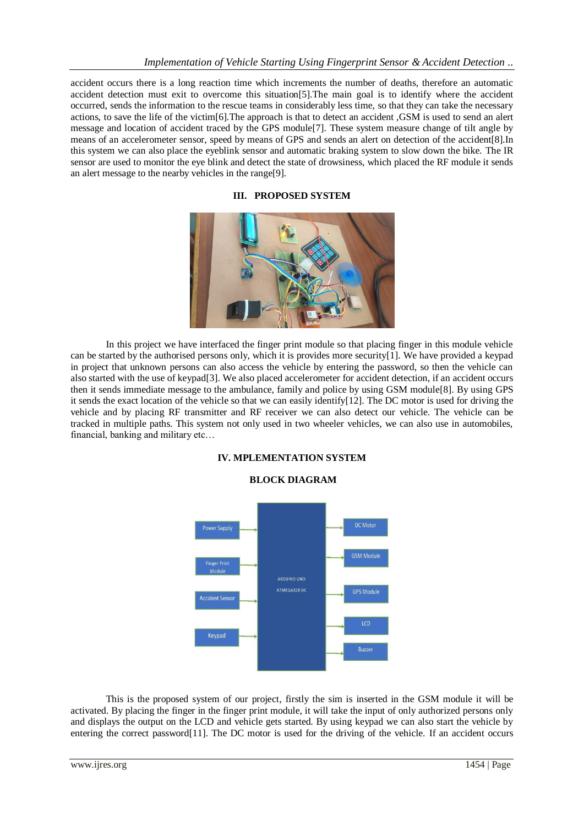accident occurs there is a long reaction time which increments the number of deaths, therefore an automatic accident detection must exit to overcome this situation[5].The main goal is to identify where the accident occurred, sends the information to the rescue teams in considerably less time, so that they can take the necessary actions, to save the life of the victim[6].The approach is that to detect an accident ,GSM is used to send an alert message and location of accident traced by the GPS module[7]. These system measure change of tilt angle by means of an accelerometer sensor, speed by means of GPS and sends an alert on detection of the accident[8].In this system we can also place the eyeblink sensor and automatic braking system to slow down the bike. The IR sensor are used to monitor the eye blink and detect the state of drowsiness, which placed the RF module it sends an alert message to the nearby vehicles in the range[9].

**III. PROPOSED SYSTEM**



In this project we have interfaced the finger print module so that placing finger in this module vehicle can be started by the authorised persons only, which it is provides more security[1]. We have provided a keypad in project that unknown persons can also access the vehicle by entering the password, so then the vehicle can also started with the use of keypad[3]. We also placed accelerometer for accident detection, if an accident occurs then it sends immediate message to the ambulance, family and police by using GSM module[8]. By using GPS it sends the exact location of the vehicle so that we can easily identify[12]. The DC motor is used for driving the vehicle and by placing RF transmitter and RF receiver we can also detect our vehicle. The vehicle can be tracked in multiple paths. This system not only used in two wheeler vehicles, we can also use in automobiles, financial, banking and military etc…



# **IV. MPLEMENTATION SYSTEM**

This is the proposed system of our project, firstly the sim is inserted in the GSM module it will be activated. By placing the finger in the finger print module, it will take the input of only authorized persons only and displays the output on the LCD and vehicle gets started. By using keypad we can also start the vehicle by entering the correct password[11]. The DC motor is used for the driving of the vehicle. If an accident occurs

## **BLOCK DIAGRAM**